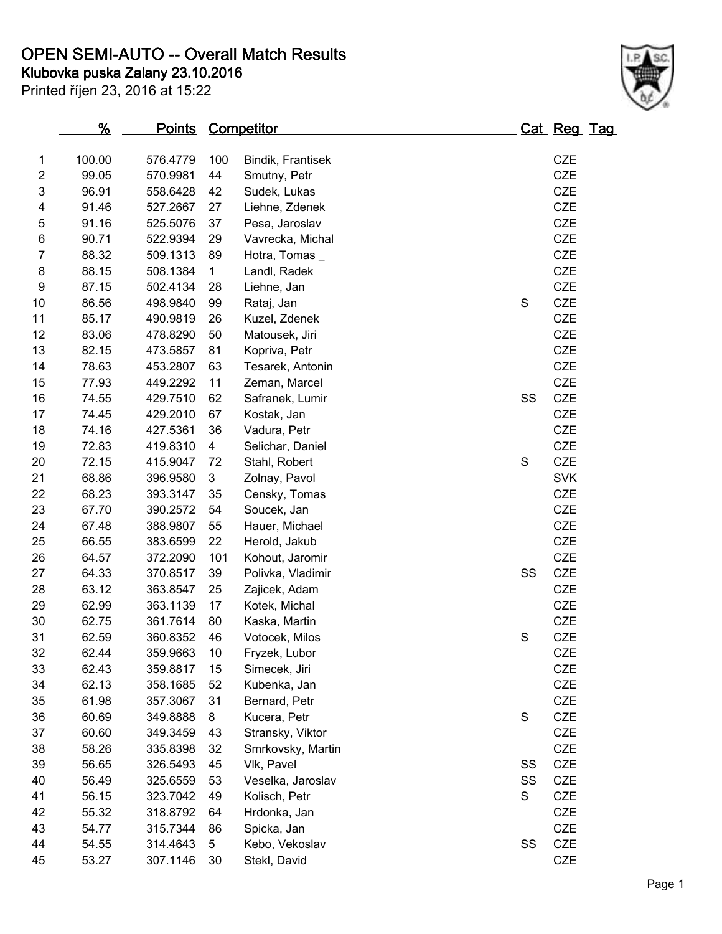## **OPEN SEMI-AUTO -- Overall Match Results**

**Klubovka puska Zalany 23.10.2016**

Printed říjen 23, 2016 at 15:22



|                  | <u>%</u> | <u>Points</u> |             | <u>Competitor</u> |             | <u> Cat Reg Tag</u> |  |
|------------------|----------|---------------|-------------|-------------------|-------------|---------------------|--|
| 1                | 100.00   | 576.4779      | 100         | Bindik, Frantisek |             | <b>CZE</b>          |  |
| $\overline{c}$   | 99.05    | 570.9981      | 44          | Smutny, Petr      |             | <b>CZE</b>          |  |
| 3                | 96.91    | 558.6428      | 42          | Sudek, Lukas      |             | CZE                 |  |
| 4                | 91.46    | 527.2667      | 27          | Liehne, Zdenek    |             | <b>CZE</b>          |  |
| 5                | 91.16    | 525.5076      | 37          | Pesa, Jaroslav    |             | <b>CZE</b>          |  |
| 6                | 90.71    | 522.9394      | 29          | Vavrecka, Michal  |             | CZE                 |  |
| $\overline{7}$   | 88.32    | 509.1313      | 89          | Hotra, Tomas_     |             | CZE                 |  |
| 8                | 88.15    | 508.1384      | $\mathbf 1$ | Landl, Radek      |             | <b>CZE</b>          |  |
| $\boldsymbol{9}$ | 87.15    | 502.4134      | 28          | Liehne, Jan       |             | CZE                 |  |
| 10               | 86.56    | 498.9840      | 99          | Rataj, Jan        | $\mathbf S$ | <b>CZE</b>          |  |
| 11               | 85.17    | 490.9819      | 26          | Kuzel, Zdenek     |             | CZE                 |  |
| 12               | 83.06    | 478.8290      | 50          | Matousek, Jiri    |             | <b>CZE</b>          |  |
| 13               | 82.15    | 473.5857      | 81          | Kopriva, Petr     |             | <b>CZE</b>          |  |
| 14               | 78.63    | 453.2807      | 63          | Tesarek, Antonin  |             | <b>CZE</b>          |  |
| 15               | 77.93    | 449.2292      | 11          | Zeman, Marcel     |             | CZE                 |  |
| 16               | 74.55    | 429.7510      | 62          | Safranek, Lumir   | SS          | <b>CZE</b>          |  |
| 17               | 74.45    | 429.2010      | 67          | Kostak, Jan       |             | <b>CZE</b>          |  |
| 18               | 74.16    | 427.5361      | 36          | Vadura, Petr      |             | <b>CZE</b>          |  |
| 19               | 72.83    | 419.8310      | 4           | Selichar, Daniel  |             | <b>CZE</b>          |  |
| 20               | 72.15    | 415.9047      | 72          | Stahl, Robert     | $\mathbf S$ | CZE                 |  |
| 21               | 68.86    | 396.9580      | 3           | Zolnay, Pavol     |             | <b>SVK</b>          |  |
| 22               | 68.23    | 393.3147      | 35          | Censky, Tomas     |             | <b>CZE</b>          |  |
| 23               | 67.70    | 390.2572      | 54          | Soucek, Jan       |             | <b>CZE</b>          |  |
| 24               | 67.48    | 388.9807      | 55          | Hauer, Michael    |             | <b>CZE</b>          |  |
| 25               | 66.55    | 383.6599      | 22          | Herold, Jakub     |             | <b>CZE</b>          |  |
| 26               | 64.57    | 372.2090      | 101         | Kohout, Jaromir   |             | <b>CZE</b>          |  |
| 27               | 64.33    | 370.8517      | 39          | Polivka, Vladimir | SS          | CZE                 |  |
| 28               | 63.12    | 363.8547      | 25          | Zajicek, Adam     |             | <b>CZE</b>          |  |
| 29               | 62.99    | 363.1139      | 17          | Kotek, Michal     |             | <b>CZE</b>          |  |
| 30               | 62.75    | 361.7614      | 80          | Kaska, Martin     |             | <b>CZE</b>          |  |
| 31               | 62.59    | 360.8352      | 46          | Votocek, Milos    | $\mathbf S$ | <b>CZE</b>          |  |
| 32               | 62.44    | 359.9663      | 10          | Fryzek, Lubor     |             | CZE                 |  |
| 33               | 62.43    | 359.8817      | 15          | Simecek, Jiri     |             | CZE                 |  |
| 34               | 62.13    | 358.1685      | 52          | Kubenka, Jan      |             | <b>CZE</b>          |  |
| 35               | 61.98    | 357.3067      | 31          | Bernard, Petr     |             | <b>CZE</b>          |  |
| 36               | 60.69    | 349.8888      | 8           | Kucera, Petr      | $\mathsf S$ | <b>CZE</b>          |  |
| 37               | 60.60    | 349.3459      | 43          | Stransky, Viktor  |             | CZE                 |  |
| 38               | 58.26    | 335.8398      | 32          | Smrkovsky, Martin |             | <b>CZE</b>          |  |
| 39               | 56.65    | 326.5493      | 45          | Vlk, Pavel        | SS          | CZE                 |  |
| 40               | 56.49    | 325.6559      | 53          | Veselka, Jaroslav | SS          | CZE                 |  |
| 41               | 56.15    | 323.7042      | 49          | Kolisch, Petr     | S           | CZE                 |  |
| 42               | 55.32    | 318.8792      | 64          | Hrdonka, Jan      |             | <b>CZE</b>          |  |
| 43               | 54.77    | 315.7344      | 86          | Spicka, Jan       |             | CZE                 |  |
| 44               | 54.55    | 314.4643      | $\sqrt{5}$  | Kebo, Vekoslav    | SS          | CZE                 |  |
| 45               | 53.27    | 307.1146      | 30          | Stekl, David      |             | CZE                 |  |
|                  |          |               |             |                   |             |                     |  |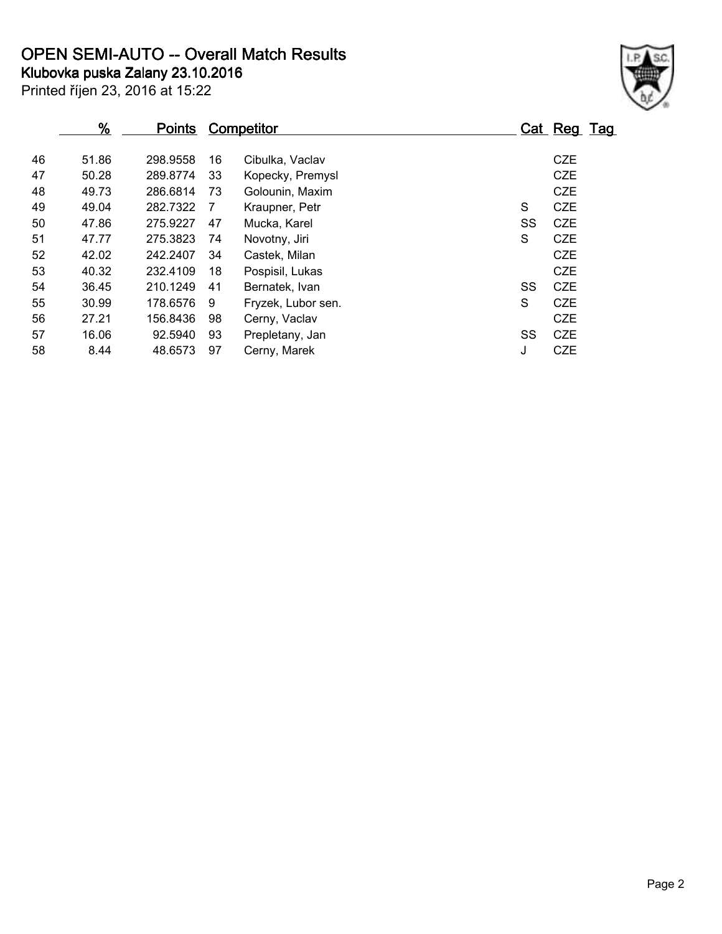**OPEN SEMI-AUTO -- Overall Match Results**

Printed říjen 23, 2016 at 15:22 **Klubovka puska Zalany 23.10.2016**



|    | %     | <b>Points</b> | Competitor |                    |    | Cat Reg Tag |
|----|-------|---------------|------------|--------------------|----|-------------|
| 46 | 51.86 | 298.9558      | 16         | Cibulka, Vaclav    |    | <b>CZE</b>  |
| 47 | 50.28 | 289.8774      | 33         | Kopecky, Premysl   |    | <b>CZE</b>  |
| 48 | 49.73 | 286.6814      | 73         | Golounin, Maxim    |    | <b>CZE</b>  |
| 49 | 49.04 | 282.7322      | 7          | Kraupner, Petr     | S  | <b>CZE</b>  |
| 50 | 47.86 | 275.9227      | 47         | Mucka, Karel       | SS | <b>CZE</b>  |
| 51 | 47.77 | 275.3823      | 74         | Novotny, Jiri      | S  | <b>CZE</b>  |
| 52 | 42.02 | 242.2407      | 34         | Castek, Milan      |    | <b>CZE</b>  |
| 53 | 40.32 | 232.4109      | 18         | Pospisil, Lukas    |    | <b>CZE</b>  |
| 54 | 36.45 | 210.1249      | 41         | Bernatek, Ivan     | SS | <b>CZE</b>  |
| 55 | 30.99 | 178.6576      | 9          | Fryzek, Lubor sen. | S  | <b>CZE</b>  |
| 56 | 27.21 | 156.8436      | 98         | Cerny, Vaclav      |    | <b>CZE</b>  |
| 57 | 16.06 | 92.5940       | 93         | Prepletany, Jan    | SS | <b>CZE</b>  |
| 58 | 8.44  | 48.6573       | 97         | Cerny, Marek       | J  | <b>CZE</b>  |
|    |       |               |            |                    |    |             |